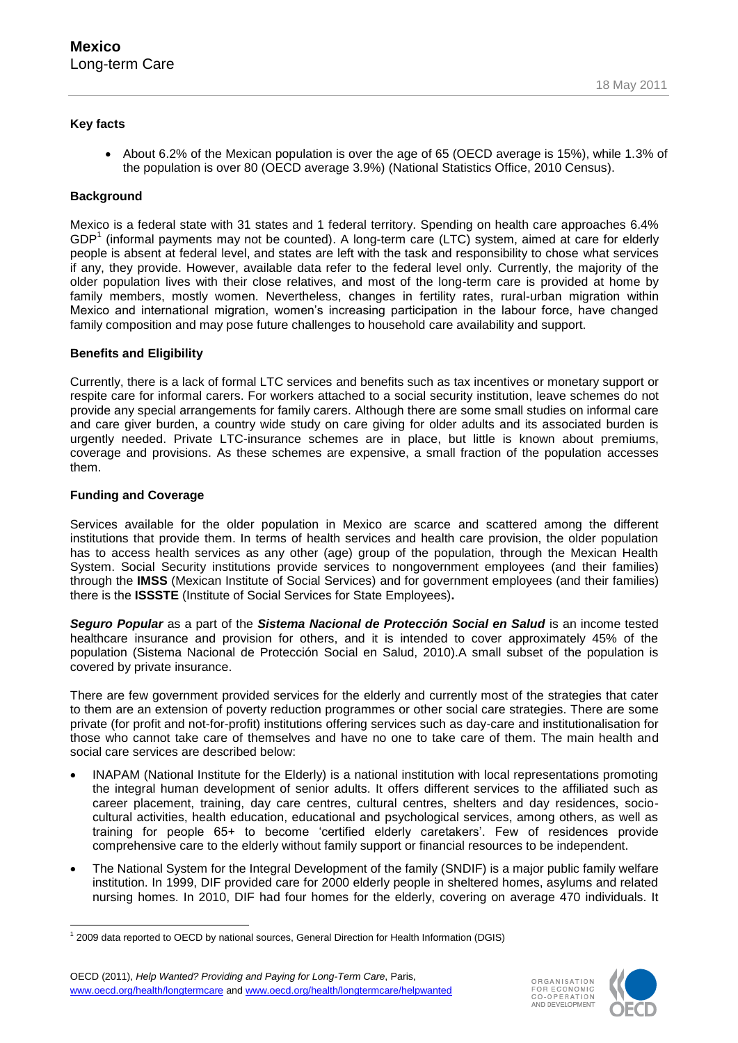## **Key facts**

 $\bullet$  About 6.2% of the Mexican population is over the age of 65 (OECD average is 15%), while 1.3% of the population is over 80 (OECD average 3.9%) (National Statistics Office, 2010 Census).

## **Background**

Mexico is a federal state with 31 states and 1 federal territory. Spending on health care approaches 6.4% GDP<sup>1</sup> (informal payments may not be counted). A long-term care (LTC) system, aimed at care for elderly people is absent at federal level, and states are left with the task and responsibility to chose what services if any, they provide. However, available data refer to the federal level only. Currently, the majority of the older population lives with their close relatives, and most of the long-term care is provided at home by family members, mostly women. Nevertheless, changes in fertility rates, rural-urban migration within Mexico and international migration, women"s increasing participation in the labour force, have changed family composition and may pose future challenges to household care availability and support.

## **Benefits and Eligibility**

Currently, there is a lack of formal LTC services and benefits such as tax incentives or monetary support or respite care for informal carers. For workers attached to a social security institution, leave schemes do not provide any special arrangements for family carers. Although there are some small studies on informal care and care giver burden, a country wide study on care giving for older adults and its associated burden is urgently needed. Private LTC-insurance schemes are in place, but little is known about premiums, coverage and provisions. As these schemes are expensive, a small fraction of the population accesses them.

#### **Funding and Coverage**

Services available for the older population in Mexico are scarce and scattered among the different institutions that provide them. In terms of health services and health care provision, the older population has to access health services as any other (age) group of the population, through the Mexican Health System. Social Security institutions provide services to nongovernment employees (and their families) through the **IMSS** (Mexican Institute of Social Services) and for government employees (and their families) there is the **ISSSTE** (Institute of Social Services for State Employees)**.**

*Seguro Popular* as a part of the *Sistema Nacional de Protección Social en Salud* is an income tested healthcare insurance and provision for others, and it is intended to cover approximately 45% of the population (Sistema Nacional de Protección Social en Salud, 2010).A small subset of the population is covered by private insurance.

There are few government provided services for the elderly and currently most of the strategies that cater to them are an extension of poverty reduction programmes or other social care strategies. There are some private (for profit and not-for-profit) institutions offering services such as day-care and institutionalisation for those who cannot take care of themselves and have no one to take care of them. The main health and social care services are described below:

- INAPAM (National Institute for the Elderly) is a national institution with local representations promoting the integral human development of senior adults. It offers different services to the affiliated such as career placement, training, day care centres, cultural centres, shelters and day residences, sociocultural activities, health education, educational and psychological services, among others, as well as training for people 65+ to become "certified elderly caretakers". Few of residences provide comprehensive care to the elderly without family support or financial resources to be independent.
- The National System for the Integral Development of the family (SNDIF) is a major public family welfare institution. In 1999, DIF provided care for 2000 elderly people in sheltered homes, asylums and related nursing homes. In 2010, DIF had four homes for the elderly, covering on average 470 individuals. It





<sup>-</sup>1 2009 data reported to OECD by national sources, General Direction for Health Information (DGIS)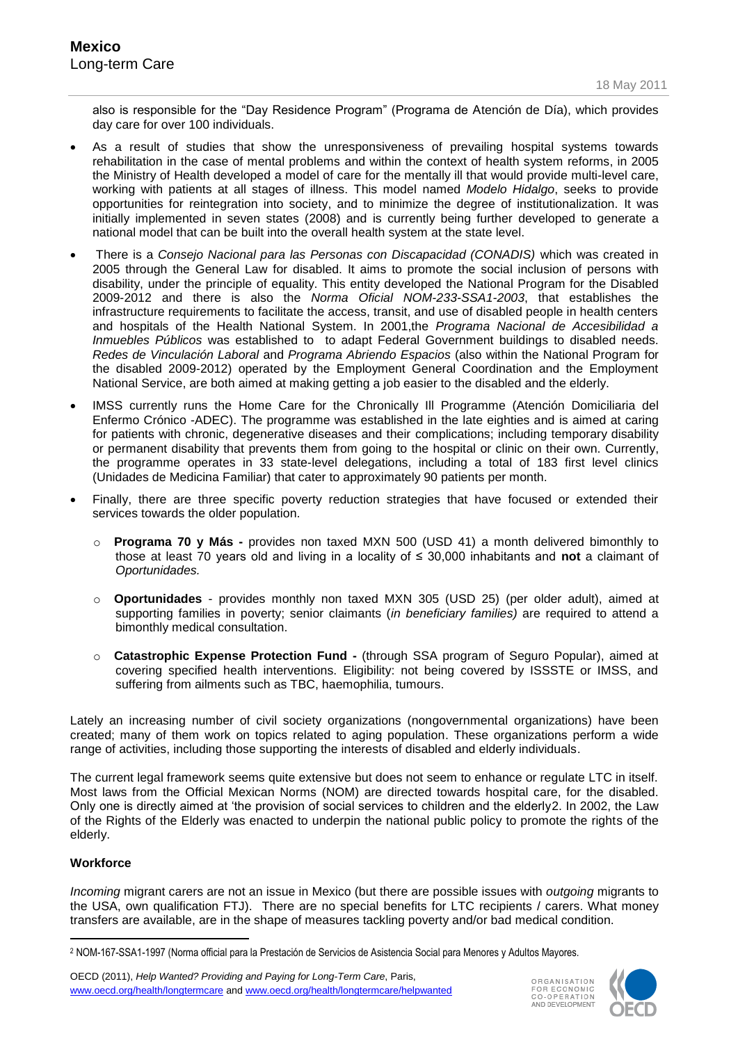also is responsible for the "Day Residence Program" (Programa de Atención de Día), which provides day care for over 100 individuals.

- As a result of studies that show the unresponsiveness of prevailing hospital systems towards rehabilitation in the case of mental problems and within the context of health system reforms, in 2005 the Ministry of Health developed a model of care for the mentally ill that would provide multi-level care, working with patients at all stages of illness. This model named *Modelo Hidalgo*, seeks to provide opportunities for reintegration into society, and to minimize the degree of institutionalization. It was initially implemented in seven states (2008) and is currently being further developed to generate a national model that can be built into the overall health system at the state level.
- There is a *Consejo Nacional para las Personas con Discapacidad (CONADIS)* which was created in 2005 through the General Law for disabled. It aims to promote the social inclusion of persons with disability, under the principle of equality. This entity developed the National Program for the Disabled 2009-2012 and there is also the *Norma Oficial NOM-233-SSA1-2003*, that establishes the infrastructure requirements to facilitate the access, transit, and use of disabled people in health centers and hospitals of the Health National System. In 2001,the *Programa Nacional de Accesibilidad a Inmuebles Públicos* was established to to adapt Federal Government buildings to disabled needs. *Redes de Vinculación Laboral* and *Programa Abriendo Espacios* (also within the National Program for the disabled 2009-2012) operated by the Employment General Coordination and the Employment National Service, are both aimed at making getting a job easier to the disabled and the elderly.
- IMSS currently runs the Home Care for the Chronically Ill Programme (Atención Domiciliaria del Enfermo Crónico -ADEC). The programme was established in the late eighties and is aimed at caring for patients with chronic, degenerative diseases and their complications; including temporary disability or permanent disability that prevents them from going to the hospital or clinic on their own. Currently, the programme operates in 33 state-level delegations, including a total of 183 first level clinics (Unidades de Medicina Familiar) that cater to approximately 90 patients per month.
- Finally, there are three specific poverty reduction strategies that have focused or extended their services towards the older population.
	- o **Programa 70 y Más -** provides non taxed MXN 500 (USD 41) a month delivered bimonthly to those at least 70 years old and living in a locality of ≤ 30,000 inhabitants and **not** a claimant of *Oportunidades.*
	- o **Oportunidades** provides monthly non taxed MXN 305 (USD 25) (per older adult), aimed at supporting families in poverty; senior claimants (*in beneficiary families*) are required to attend a bimonthly medical consultation.
	- o **Catastrophic Expense Protection Fund -** (through SSA program of Seguro Popular), aimed at covering specified health interventions. Eligibility: not being covered by ISSSTE or IMSS, and suffering from ailments such as TBC, haemophilia, tumours.

Lately an increasing number of civil society organizations (nongovernmental organizations) have been created; many of them work on topics related to aging population. These organizations perform a wide range of activities, including those supporting the interests of disabled and elderly individuals.

The current legal framework seems quite extensive but does not seem to enhance or regulate LTC in itself. Most laws from the Official Mexican Norms (NOM) are directed towards hospital care, for the disabled. Only one is directly aimed at "the provision of social services to children and the elderly2. In 2002, the Law of the Rights of the Elderly was enacted to underpin the national public policy to promote the rights of the elderly.

# **Workforce**

-

*Incoming* migrant carers are not an issue in Mexico (but there are possible issues with *outgoing* migrants to the USA, own qualification FTJ). There are no special benefits for LTC recipients / carers. What money transfers are available, are in the shape of measures tackling poverty and/or bad medical condition.

OECD (2011), *Help Wanted? Providing and Paying for Long-Term Care*, Paris, www.oecd.org/health/longtermcare and www.oecd.org/health/longtermcare/helpwanted



<sup>2</sup> NOM-167-SSA1-1997 (Norma official para la Prestación de Servicios de Asistencia Social para Menores y Adultos Mayores.